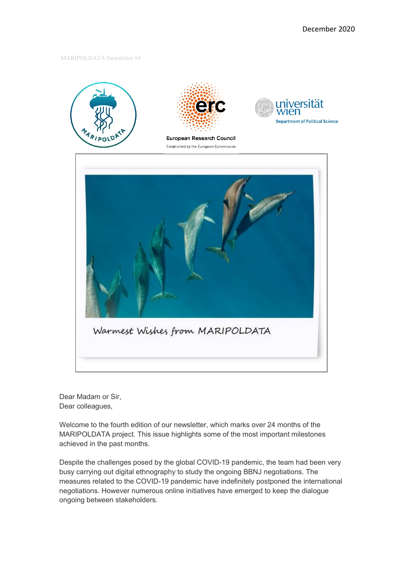MARIPOLDATA Newsletter #4



Dear Madam or Sir, Dear colleagues,

Welcome to the fourth edition of our newsletter, which marks over 24 months of the MARIPOLDATA project. This issue highlights some of the most important milestones achieved in the past months.

Despite the challenges posed by the global COVID-19 pandemic, the team had been very busy carrying out digital ethnography to study the ongoing BBNJ negotiations. The measures related to the COVID-19 pandemic have indefinitely postponed the international negotiations. However numerous online initiatives have emerged to keep the dialogue ongoing between stakeholders.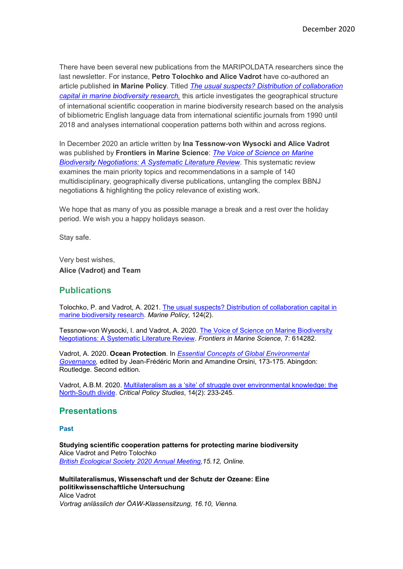There have been several new publications from the MARIPOLDATA researchers since the last newsletter. For instance, **Petro Tolochko and Alice Vadrot** have co-authored an article published **in [Marine Policy](https://www.journals.elsevier.com/marine-policy)**. Titled *[The usual suspects? Distribution of collaboration](https://www.sciencedirect.com/science/article/pii/S0308597X20309659)  [capital in marine biodiversity research](https://www.sciencedirect.com/science/article/pii/S0308597X20309659),* this article investigates the geographical structure of international scientific cooperation in marine biodiversity research based on the analysis of bibliometric English language data from international scientific journals from 1990 until 2018 and analyses international cooperation patterns both within and across regions.

In December 2020 an article written by **Ina Tessnow-von Wysocki and Alice Vadrot** was published by **[Frontiers in Marine Science](https://www.frontiersin.org/journals/marine-science)**: *[The Voice of Science on Marine](https://www.frontiersin.org/articles/10.3389/fmars.2020.614282/full)  [Biodiversity Negotiations: A Systematic Literature Review](https://www.frontiersin.org/articles/10.3389/fmars.2020.614282/full)*. This systematic review examines the main priority topics and recommendations in a sample of 140 multidisciplinary, geographically diverse publications, untangling the complex BBNJ negotiations & highlighting the policy relevance of existing work.

We hope that as many of you as possible manage a break and a rest over the holiday period. We wish you a happy holidays season.

Stay safe.

Very best wishes, **Alice (Vadrot) and Team**

## **Publications**

Tolochko, P. and Vadrot, A. 2021. [The usual suspects? Distribution of collaboration capital in](https://www.sciencedirect.com/science/article/pii/S0308597X20309659)  [marine biodiversity research.](https://www.sciencedirect.com/science/article/pii/S0308597X20309659) *Marine Policy,* 124(2).

Tessnow-von Wysocki, I. and Vadrot, A. 2020. [The Voice of Science on Marine Biodiversity](https://www.frontiersin.org/articles/10.3389/fmars.2020.614282/full)  [Negotiations: A Systematic Literature Review.](https://www.frontiersin.org/articles/10.3389/fmars.2020.614282/full) *Frontiers in Marine Science,* 7: 614282.

Vadrot, A. 2020. **Ocean Protection**. In *[Essential Concepts of Global Environmental](https://www.routledge.com/Essential-Concepts-of-Global-Environmental-Governance/Morin-Orsini/p/book/9780367418694)  [Governance,](https://www.routledge.com/Essential-Concepts-of-Global-Environmental-Governance/Morin-Orsini/p/book/9780367418694)* edited by Jean-Frédéric Morin and Amandine Orsini, 173-175. Abingdon: Routledge. Second edition.

Vadrot, A.B.M. 2020. [Multilateralism as a 'site' of struggle over environmental knowledge: the](https://www.tandfonline.com/doi/full/10.1080/19460171.2020.1768131)  [North-South divide.](https://www.tandfonline.com/doi/full/10.1080/19460171.2020.1768131) *Critical Policy Studies*, 14(2): 233-245.

## **Presentations**

**Past**

**Studying scientific cooperation patterns for protecting marine biodiversity** Alice Vadrot and Petro Tolochko *[British Ecological Society 2020 Annual Meeting,](https://www.britishecologicalsociety.org/events/festival-of-ecology/)15.12, Online.*

**Multilateralismus, Wissenschaft und der Schutz der Ozeane: Eine politikwissenschaftliche Untersuchung** Alice Vadrot *Vortrag anlässlich der ÖAW-Klassensitzung, 16.10, Vienna.*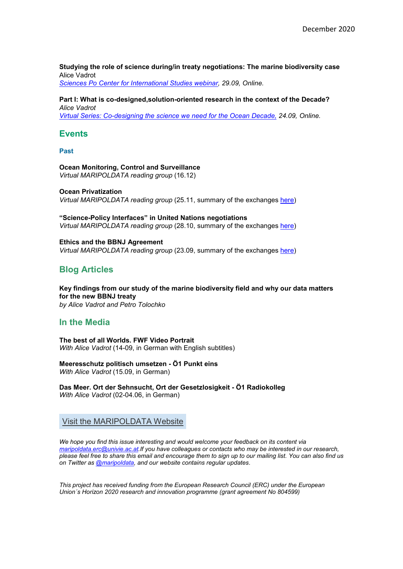### **[Studying the role of science during/in treaty negotiations: The marine biodiversity case](https://www.sciencespo.fr/agenda/ceri/en/event/Studying+the+role+of+science+during-in+treaty+negotiations%3A+The+marine+biodiversity+case?event=2106)** Alice Vadrot

*[Sciences Po Center for International Studies webinar,](https://www.sciencespo.fr/agenda/ceri/en/event/Studying+the+role+of+science+during-in+treaty+negotiations%3A+The+marine+biodiversity+case?event=2106) 29.09, Online.*

#### **[Part I: What is co-designed,solution-oriented research in the context of the Decade?](https://oceandecade.org/events/130/The-Ocean-Decade-Virtual-Series-Co-designing-the-science-we-need-for--the-Ocean-Decade-Part-1)** *Alice Vadrot*

*[Virtual Series: Co-designing the science we](https://oceandecade.org/events/130/The-Ocean-Decade-Virtual-Series-Co-designing-the-science-we-need-for--the-Ocean-Decade-Part-1) need for the Ocean Decade, 24.09, Online.*

### **Events**

**Past**

#### **[Ocean Monitoring, Control and Surveillance](https://www.maripoldata.eu/newsevents/#readinggroupOceanMonitoring)** *Virtual MARIPOLDATA reading group* (16.12)

**[Ocean Privatization](https://www.maripoldata.eu/newsevents/#readinggroupOceanPrivatization)** *Virtual MARIPOLDATA reading group* (25.11, summary of the exchanges [here\)](https://www.maripoldata.eu/wp-content/uploads/2020/12/Summary_MARIPOLDATA-Reading-Group-Ocean-Privatization_withslides.pdf)

**["Science-Policy Interfaces" in United Nations negotiations](https://www.maripoldata.eu/newsevents/#readinggroupSciencePolicy)** *Virtual MARIPOLDATA reading group* (28.10, summary of the exchanges [here\)](https://www.maripoldata.eu/wp-content/uploads/2020/11/Summary_MARIPOLDATA-Reading-Group-science-policy_with-slides.pdf)

**[Ethics and the BBNJ Agreement](https://www.maripoldata.eu/newsevents/#readinggroupEthics)** *Virtual MARIPOLDATA reading group* (23.09, summary of the exchanges [here\)](https://www.maripoldata.eu/wp-content/uploads/2020/10/Summary_MARIPOLDATA-Reading-Group-ethics-and-BBNJ_23_09_2020.pdf)

# **Blog Articles**

**[Key findings from our study of the marine biodiversity field and why our data matters](https://www.maripoldata.eu/key-findings-from-our-study-of-the-marine-biodiversity-field-and-why-our-data-matters-for-the-new-bbnj-treaty/)  [for the new BBNJ treaty](https://www.maripoldata.eu/key-findings-from-our-study-of-the-marine-biodiversity-field-and-why-our-data-matters-for-the-new-bbnj-treaty/)** *by Alice Vadrot and Petro Tolochko*

## **In the Media**

**[The best of all Worlds. FWF Video Portrait](https://vimeo.com/456849134)** *With Alice Vadrot* (14-09, in German with English subtitles)

**[Meeresschutz politisch umsetzen -](https://oe1.orf.at/programm/20200915/611918/Meeresschutz-politisch-umsetzen) Ö1 Punkt eins** *With Alice Vadrot* (15.09, in German)

**[Das Meer. Ort der Sehnsucht, Ort der Gesetzlosigkeit -](https://oe1.orf.at/player/20200602/600717) Ö1 Radiokolleg** *With Alice Vadrot* (02-04.06, in German)

### Visit the [MARIPOLDATA](https://www.maripoldata.eu/) Website

*We hope you find this issue interesting and would welcome your feedback on its content via [maripoldata.erc@univie.ac.at.I](mailto:maripoldata.erc@univie.ac.at)f you have colleagues or contacts who may be interested in our research, please feel free to share this email and encourage them to sign up to our mailing list. You can also find us on Twitter as @maripoldata, and our website contains regular updates*.

*This project has received funding from the European Research Council (ERC) under the European Union´s Horizon 2020 research and innovation programme (grant agreement No 804599)*